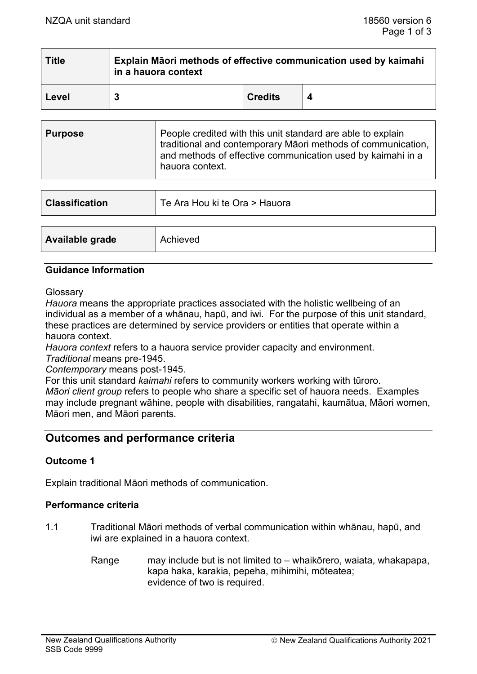| <b>Title</b> | Explain Māori methods of effective communication used by kaimahi<br>in a hauora context |                |  |
|--------------|-----------------------------------------------------------------------------------------|----------------|--|
| Level        |                                                                                         | <b>Credits</b> |  |

| People credited with this unit standard are able to explain<br><b>Purpose</b><br>traditional and contemporary Māori methods of communication,<br>and methods of effective communication used by kaimahi in a<br>hauora context. |  |
|---------------------------------------------------------------------------------------------------------------------------------------------------------------------------------------------------------------------------------|--|
|---------------------------------------------------------------------------------------------------------------------------------------------------------------------------------------------------------------------------------|--|

| <b>Classification</b> | Te Ara Hou ki te Ora > Hauora |
|-----------------------|-------------------------------|
|                       |                               |
| Available grade       | Achieved                      |

#### **Guidance Information**

**Glossarv** 

*Hauora* means the appropriate practices associated with the holistic wellbeing of an individual as a member of a whānau, hapū, and iwi. For the purpose of this unit standard, these practices are determined by service providers or entities that operate within a hauora context.

*Hauora context* refers to a hauora service provider capacity and environment. *Traditional* means pre-1945.

*Contemporary* means post-1945.

For this unit standard *kaimahi* refers to community workers working with tūroro. *Māori client group* refers to people who share a specific set of hauora needs. Examples may include pregnant wāhine, people with disabilities, rangatahi, kaumātua, Māori women, Māori men, and Māori parents.

# **Outcomes and performance criteria**

### **Outcome 1**

Explain traditional Māori methods of communication.

### **Performance criteria**

- 1.1 Traditional Māori methods of verbal communication within whānau, hapū, and iwi are explained in a hauora context.
	- Range may include but is not limited to whaikōrero, waiata, whakapapa, kapa haka, karakia, pepeha, mihimihi, mōteatea; evidence of two is required.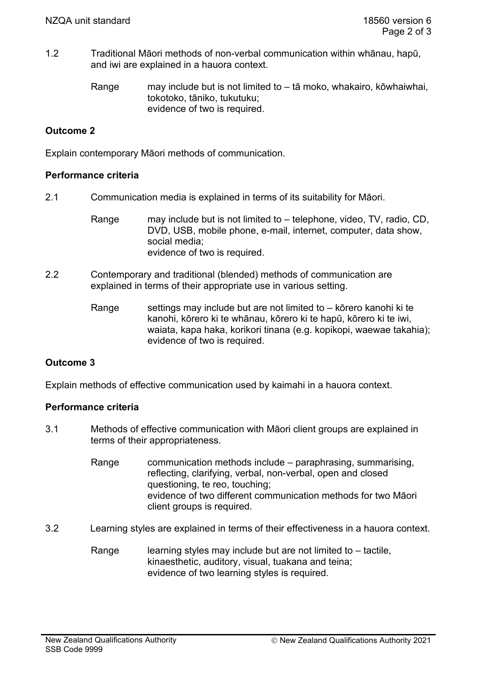1.2 Traditional Māori methods of non-verbal communication within whānau, hapū, and iwi are explained in a hauora context.

> Range may include but is not limited to – tā moko, whakairo, kōwhaiwhai, tokotoko, tāniko, tukutuku; evidence of two is required.

## **Outcome 2**

Explain contemporary Māori methods of communication.

### **Performance criteria**

2.1 Communication media is explained in terms of its suitability for Māori.

Range may include but is not limited to – telephone, video, TV, radio, CD, DVD, USB, mobile phone, e-mail, internet, computer, data show, social media; evidence of two is required.

- 2.2 Contemporary and traditional (blended) methods of communication are explained in terms of their appropriate use in various setting.
	- Range settings may include but are not limited to  $-$  kōrero kanohi ki te kanohi, kōrero ki te whānau, kōrero ki te hapū, kōrero ki te iwi, waiata, kapa haka, korikori tinana (e.g. kopikopi, waewae takahia); evidence of two is required.

# **Outcome 3**

Explain methods of effective communication used by kaimahi in a hauora context.

### **Performance criteria**

- 3.1 Methods of effective communication with Māori client groups are explained in terms of their appropriateness.
	- Range communication methods include paraphrasing, summarising, reflecting, clarifying, verbal, non-verbal, open and closed questioning, te reo, touching; evidence of two different communication methods for two Māori client groups is required.
- 3.2 Learning styles are explained in terms of their effectiveness in a hauora context.
	- Range learning styles may include but are not limited to  $-$  tactile, kinaesthetic, auditory, visual, tuakana and teina; evidence of two learning styles is required.